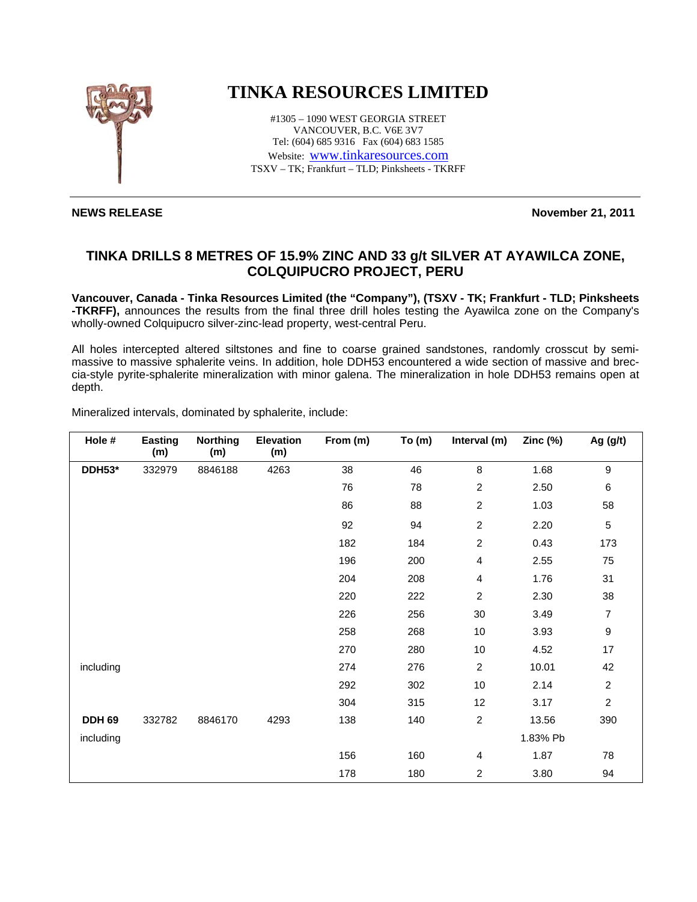

## **TINKA RESOURCES LIMITED**

#1305 – 1090 WEST GEORGIA STREET VANCOUVER, B.C. V6E 3V7 Tel: (604) 685 9316 Fax (604) 683 1585 Website: www.tinkaresources.com TSXV – TK; Frankfurt – TLD; Pinksheets - TKRFF

**NEWS RELEASE** November 21, 2011

## **TINKA DRILLS 8 METRES OF 15.9% ZINC AND 33 g/t SILVER AT AYAWILCA ZONE, COLQUIPUCRO PROJECT, PERU**

**Vancouver, Canada - Tinka Resources Limited (the "Company"), (TSXV - TK; Frankfurt - TLD; Pinksheets -TKRFF),** announces the results from the final three drill holes testing the Ayawilca zone on the Company's wholly-owned Colquipucro silver-zinc-lead property, west-central Peru.

All holes intercepted altered siltstones and fine to coarse grained sandstones, randomly crosscut by semimassive to massive sphalerite veins. In addition, hole DDH53 encountered a wide section of massive and breccia-style pyrite-sphalerite mineralization with minor galena. The mineralization in hole DDH53 remains open at depth.

| Mineralized intervals, dominated by sphalerite, include: |
|----------------------------------------------------------|
|----------------------------------------------------------|

| Hole #        | <b>Easting</b><br>(m) | <b>Northing</b><br>(m) | <b>Elevation</b><br>(m) | From (m) | To(m) | Interval (m)   | Zinc $(%)$ | Ag (g/t)         |
|---------------|-----------------------|------------------------|-------------------------|----------|-------|----------------|------------|------------------|
| DDH53*        | 332979                | 8846188                | 4263                    | 38       | 46    | 8              | 1.68       | $\boldsymbol{9}$ |
|               |                       |                        |                         | 76       | 78    | $\overline{c}$ | 2.50       | $\,6$            |
|               |                       |                        |                         | 86       | 88    | $\overline{c}$ | 1.03       | 58               |
|               |                       |                        |                         | 92       | 94    | $\overline{c}$ | 2.20       | $\sqrt{5}$       |
|               |                       |                        |                         | 182      | 184   | $\overline{c}$ | 0.43       | 173              |
|               |                       |                        |                         | 196      | 200   | 4              | 2.55       | 75               |
|               |                       |                        |                         | 204      | 208   | 4              | 1.76       | 31               |
|               |                       |                        |                         | 220      | 222   | $\overline{2}$ | 2.30       | 38               |
|               |                       |                        |                         | 226      | 256   | 30             | 3.49       | 7                |
|               |                       |                        |                         | 258      | 268   | 10             | 3.93       | $\boldsymbol{9}$ |
|               |                       |                        |                         | 270      | 280   | 10             | 4.52       | $17\,$           |
| including     |                       |                        |                         | 274      | 276   | $\overline{c}$ | 10.01      | 42               |
|               |                       |                        |                         | 292      | 302   | 10             | 2.14       | $\boldsymbol{2}$ |
|               |                       |                        |                         | 304      | 315   | 12             | 3.17       | $\overline{c}$   |
| <b>DDH 69</b> | 332782                | 8846170                | 4293                    | 138      | 140   | $\overline{c}$ | 13.56      | 390              |
| including     |                       |                        |                         |          |       |                | 1.83% Pb   |                  |
|               |                       |                        |                         | 156      | 160   | 4              | 1.87       | 78               |
|               |                       |                        |                         | 178      | 180   | $\overline{c}$ | 3.80       | 94               |